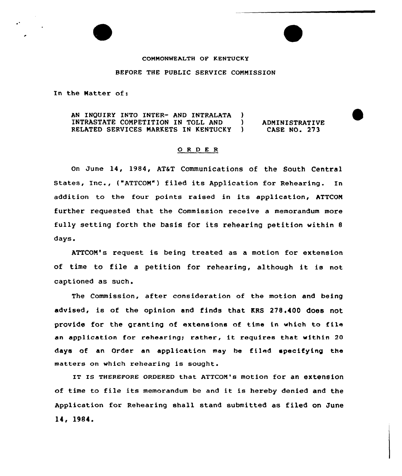## COMMONWEALTH OF KENTUCKY

## BEFORE THE PUBLIC SERVICE COMMISSION

In the Natter of:

AN INQUIRY INTO INTER- AND INTRALATA INTRASTATE COMPETITION IN TOLL AND RELATED SERVICES NARKETS IN KENTUCKY  $\big)$ ) ADNINISTRATIVE CASE NO. 273

## ORDER

On June 14, 1984, AT&T Communications of the South Central States, Inc., ("ATTCON") filed its Application for Rehearing. In addition to the four points raised in its application, ATTCON further requested that the Commission receive a memorandum more fully setting forth the basis for its rehearing petition within 8 days.

ATTCOM's request is being treated as a motion for extension of time to file <sup>a</sup> petition for rehearing, although it is not captioned as such.

The Commission, after consideration of the motion and being advised, is of the opinion and finds that KRS 278.400 does not provide for the granting of extensions of time in which to file an application for rehearing; rather, it requires that within 20 days of an Order an application may be filed specifying the matters on which rehearing is sought.

IT Is THEREF0RE oRDERED that ATTcoM's motion for an extension of time to file its memorandum be and it is hereby denied and the Application for Rehearing shall stand submitted as filed on June 14, 1984.